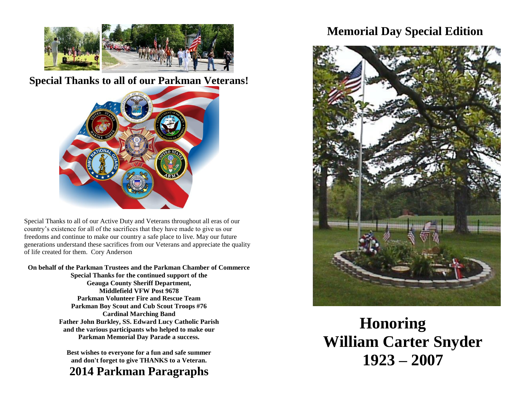

**Special Thanks to all of our Parkman Veterans!**



Special Thanks to all of our Active Duty and Veterans throughout all eras of our country's existence for all of the sacrifices that they have made to give us our freedoms and continue to make our country a safe place to live. May our future generations understand these sacrifices from our Veterans and appreciate the quality of life created for them. Cory Anderson

**On behalf of the Parkman Trustees and the Parkman Chamber of Commerce Special Thanks for the continued support of the Geauga County Sheriff Department, Middlefield VFW Post 9678 Parkman Volunteer Fire and Rescue Team Parkman Boy Scout and Cub Scout Troops #76 Cardinal Marching Band Father John Burkley, SS. Edward Lucy Catholic Parish and the various participants who helped to make our Parkman Memorial Day Parade a success.**

> **Best wishes to everyone for a fun and safe summer and don't forget to give THANKS to a Veteran.**

**2014 Parkman Paragraphs** 

## **Memorial Day Special Edition**



**Honoring William Carter Snyder 1923 – 2007**